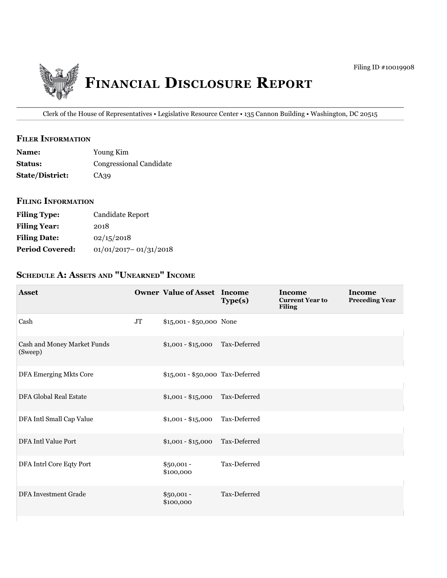

Clerk of the House of Representatives • Legislative Resource Center • 135 Cannon Building • Washington, DC 20515

#### **filer information**

| <b>Name:</b>           | Young Kim                      |
|------------------------|--------------------------------|
| <b>Status:</b>         | <b>Congressional Candidate</b> |
| <b>State/District:</b> | CA39                           |

### **filing information**

| <b>Filing Type:</b>    | Candidate Report          |
|------------------------|---------------------------|
| <b>Filing Year:</b>    | 2018                      |
| <b>Filing Date:</b>    | 02/15/2018                |
| <b>Period Covered:</b> | $01/01/2017 - 01/31/2018$ |

# **ScheDule a: aSSetS anD "unearneD" income**

| <b>Asset</b>                           |          | <b>Owner Value of Asset Income</b> | Type(s)      | Income<br><b>Current Year to</b><br><b>Filing</b> | Income<br><b>Preceding Year</b> |
|----------------------------------------|----------|------------------------------------|--------------|---------------------------------------------------|---------------------------------|
| Cash                                   | $\rm JT$ | \$15,001 - \$50,000 None           |              |                                                   |                                 |
| Cash and Money Market Funds<br>(Sweep) |          | $$1,001 - $15,000$                 | Tax-Deferred |                                                   |                                 |
| <b>DFA Emerging Mkts Core</b>          |          | \$15,001 - \$50,000 Tax-Deferred   |              |                                                   |                                 |
| DFA Global Real Estate                 |          | $$1,001 - $15,000$                 | Tax-Deferred |                                                   |                                 |
| DFA Intl Small Cap Value               |          | $$1,001 - $15,000$                 | Tax-Deferred |                                                   |                                 |
| DFA Intl Value Port                    |          | $$1,001 - $15,000$                 | Tax-Deferred |                                                   |                                 |
| DFA Intrl Core Eqty Port               |          | $$50,001 -$<br>\$100,000           | Tax-Deferred |                                                   |                                 |
| DFA Investment Grade                   |          | $$50,001 -$<br>\$100,000           | Tax-Deferred |                                                   |                                 |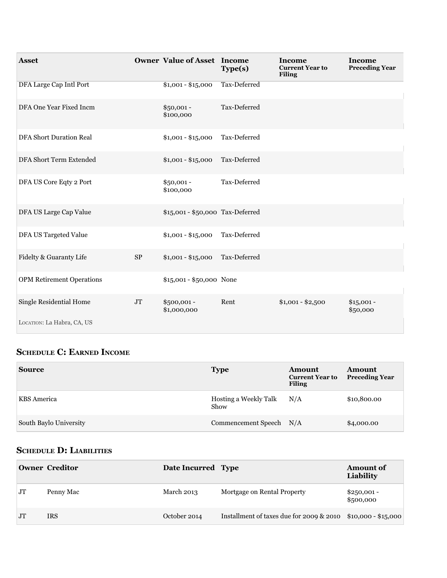| <b>Asset</b>                                          |            | <b>Owner Value of Asset Income</b> | Type(s)      | Income<br><b>Current Year to</b><br><b>Filing</b> | Income<br><b>Preceding Year</b> |
|-------------------------------------------------------|------------|------------------------------------|--------------|---------------------------------------------------|---------------------------------|
| DFA Large Cap Intl Port                               |            | $$1,001 - $15,000$                 | Tax-Deferred |                                                   |                                 |
| DFA One Year Fixed Incm                               |            | $$50,001 -$<br>\$100,000           | Tax-Deferred |                                                   |                                 |
| <b>DFA Short Duration Real</b>                        |            | $$1,001 - $15,000$                 | Tax-Deferred |                                                   |                                 |
| DFA Short Term Extended                               |            | $$1,001 - $15,000$                 | Tax-Deferred |                                                   |                                 |
| DFA US Core Eqty 2 Port                               |            | $$50,001 -$<br>\$100,000           | Tax-Deferred |                                                   |                                 |
| DFA US Large Cap Value                                |            | \$15,001 - \$50,000 Tax-Deferred   |              |                                                   |                                 |
| DFA US Targeted Value                                 |            | $$1,001 - $15,000$                 | Tax-Deferred |                                                   |                                 |
| Fidelty & Guaranty Life                               | ${\rm SP}$ | $$1,001 - $15,000$                 | Tax-Deferred |                                                   |                                 |
| <b>OPM Retirement Operations</b>                      |            | \$15,001 - \$50,000 None           |              |                                                   |                                 |
| Single Residential Home<br>LOCATION: La Habra, CA, US | $\rm JT$   | \$500,001-<br>\$1,000,000          | Rent         | $$1,001 - $2,500$                                 | $$15,001 -$<br>\$50,000         |
|                                                       |            |                                    |              |                                                   |                                 |

# **ScheDule c: earneD income**

| <b>Source</b>          | <b>Type</b>                   | Amount<br><b>Current Year to</b><br><b>Filing</b> | <b>Amount</b><br><b>Preceding Year</b> |
|------------------------|-------------------------------|---------------------------------------------------|----------------------------------------|
| <b>KBS</b> America     | Hosting a Weekly Talk<br>Show | N/A                                               | \$10,800.00                            |
| South Baylo University | Commencement Speech N/A       |                                                   | \$4,000.00                             |

# **ScheDule D: liaBilitieS**

|                | <b>Owner Creditor</b> | Date Incurred Type |                                          | <b>Amount of</b><br>Liability |
|----------------|-----------------------|--------------------|------------------------------------------|-------------------------------|
| JT             | Penny Mac             | March 2013         | Mortgage on Rental Property              | $$250,001 -$<br>\$500,000     |
| J <sub>T</sub> | <b>IRS</b>            | October 2014       | Installment of taxes due for 2009 & 2010 | $$10,000 - $15,000$           |